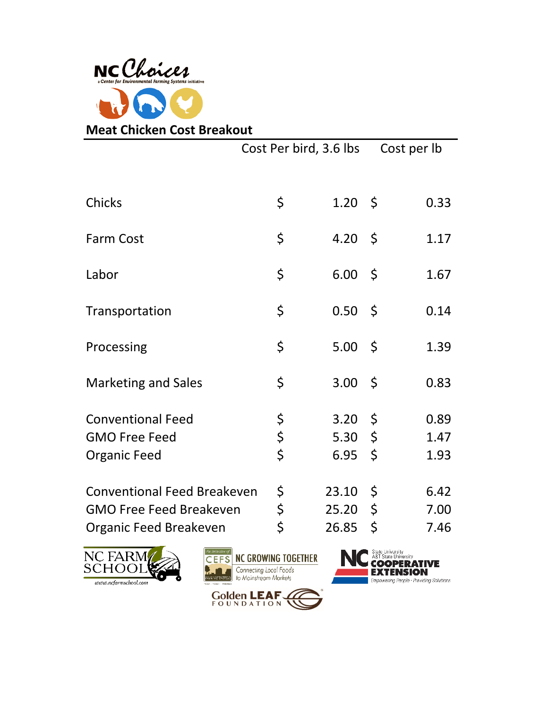

|                                                                                                | Cost Per bird, 3.6 lbs |                         |                                           | Cost per lb          |
|------------------------------------------------------------------------------------------------|------------------------|-------------------------|-------------------------------------------|----------------------|
| <b>Chicks</b>                                                                                  | \$                     | $1.20 \pm 5$            |                                           | 0.33                 |
| <b>Farm Cost</b>                                                                               | \$                     | 4.20 \$                 |                                           | 1.17                 |
| Labor                                                                                          | \$                     | 6.00                    | -\$                                       | 1.67                 |
| Transportation                                                                                 | \$                     | 0.50                    | - \$                                      | 0.14                 |
| Processing                                                                                     | \$                     | 5.00                    | - \$                                      | 1.39                 |
| <b>Marketing and Sales</b>                                                                     | \$                     | 3.00                    | $\zeta$                                   | 0.83                 |
| <b>Conventional Feed</b><br><b>GMO Free Feed</b><br><b>Organic Feed</b>                        | \$<br>\$<br>Ċ          | 3.20<br>5.30<br>6.95    | $\varsigma$<br>$\varsigma$<br>- \$        | 0.89<br>1.47<br>1.93 |
| <b>Conventional Feed Breakeven</b><br><b>GMO Free Feed Breakeven</b><br>Organic Feed Breakeven | \$<br>\$<br>\$         | 23.10<br>25.20<br>26.85 | $\varsigma$<br>$\varsigma$<br>$\varsigma$ | 6.42<br>7.00<br>7.46 |





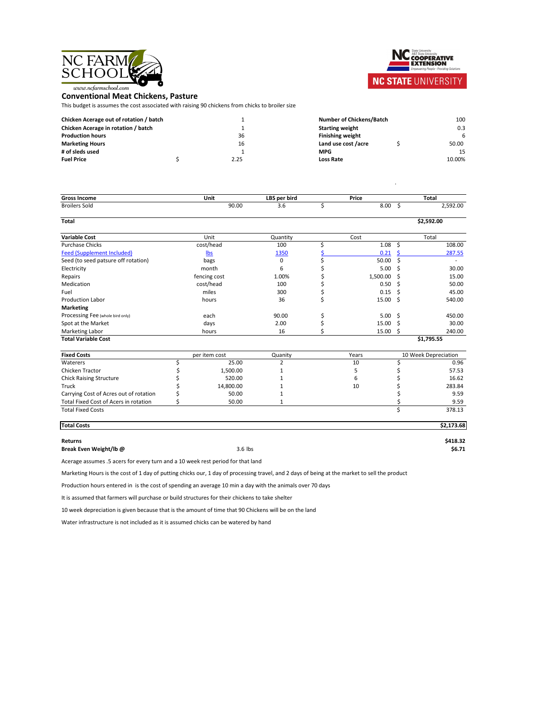



## NC STATE UNIVERSITY

## **Conventional Meat Chickens, Pasture**

This budget is assumes the cost associated with raising 90 chickens from chicks to broiler size

| <b>Chicken Acerage out of rotation / batch</b> |      | <b>Number of Chickens/Batch</b> |  | 100    |
|------------------------------------------------|------|---------------------------------|--|--------|
| <b>Chicken Acerage in rotation / batch</b>     |      | <b>Starting weight</b>          |  | 0.3    |
| <b>Production hours</b>                        | 36   | <b>Finishing weight</b>         |  |        |
| <b>Marketing Hours</b>                         | 16   | Land use cost /acre             |  | 50.00  |
| # of sleds used                                |      | <b>MPG</b>                      |  | 15     |
| <b>Fuel Price</b>                              | 2.25 | <b>Loss Rate</b>                |  | 10.00% |

| <b>Number of Chickens/Batch</b> |              | 100    |
|---------------------------------|--------------|--------|
| <b>Starting weight</b>          |              | 0.3    |
| <b>Finishing weight</b>         |              |        |
| Land use cost /acre             | $\mathsf{S}$ | 50.00  |
| <b>MPG</b>                      |              | 15     |
| <b>Loss Rate</b>                |              | 10.00% |

.

| <b>Gross Income</b>                 | <b>Unit</b> | LBS per bird | <b>Price</b>       | <b>Total</b>             |
|-------------------------------------|-------------|--------------|--------------------|--------------------------|
| <b>Broilers Sold</b>                | 90.00       | 3.6          | 8.00               | 2,592.00                 |
| <b>Total</b>                        |             |              |                    | \$2,592.00               |
| <b>Variable Cost</b>                | Unit        | Quantity     | Cost               | Total                    |
| <b>Purchase Chicks</b>              | cost/head   | 100          | 1.08               | 108.00                   |
| <b>Feed (Supplement Included)</b>   | <u>lbs</u>  | 1350         | 0.21               | 287.55                   |
| Seed (to seed patsure off rotation) | bags        | $\mathbf 0$  | $50.00\frac{1}{5}$ | $\overline{\phantom{0}}$ |
| Electricity                         | month       | b            | $5.00\frac{1}{2}$  | 30.00                    |

Repairs 1.00%  $\zeta$  15.00

| Medication                              | cost/head     | 100     |       | 0.50         | 50.00                       |
|-----------------------------------------|---------------|---------|-------|--------------|-----------------------------|
| Fuel                                    | miles         | 300     |       | 0.15         | 45.00                       |
| <b>Production Labor</b>                 | hours         | 36      |       | $15.00 \div$ | 540.00                      |
| <b>Marketing</b>                        |               |         |       |              |                             |
| <b>Processing Fee (whole bird only)</b> | each          | 90.00   |       | $5.00 \div$  | 450.00                      |
| Spot at the Market                      | days          | 2.00    |       | 15.00        | 30.00                       |
| <b>Marketing Labor</b>                  | hours         | 16      |       | 15.00        | 240.00                      |
| <b>Total Variable Cost</b>              |               |         |       |              | \$1,795.55                  |
| <b>Fixed Costs</b>                      | per item cost | Quanity | Years |              | <b>10 Week Depreciation</b> |
| <b>Waterers</b>                         | 25.00         |         | 10    |              | 0.96                        |
| <b>Chicken Tractor</b>                  | 1,500.00      |         |       |              | 57.53                       |
| <b>Chick Raising Structure</b>          | 520.00        |         | 6     |              | 16.62                       |

| <b>Fixed Costs</b>                           | per item cost | Quanity | Years | <b>10 Week Depreciation</b> |        |
|----------------------------------------------|---------------|---------|-------|-----------------------------|--------|
| <b>Waterers</b>                              | 25.00         |         | 10    |                             | 0.96   |
| <b>Chicken Tractor</b>                       | 1,500.00      |         |       |                             | 57.53  |
| <b>Chick Raising Structure</b>               | 520.00        |         |       |                             | 16.62  |
| <b>Truck</b>                                 | 14,800.00     |         | 10    |                             | 283.84 |
| Carrying Cost of Acres out of rotation       | 50.00         |         |       |                             | 9.59   |
| <b>Total Fixed Cost of Acers in rotation</b> | 50.00         |         |       |                             | 9.59   |
| <b>Total Fixed Costs</b>                     |               |         |       |                             | 378.13 |

| <b>Total Costs</b> | \$2,173.68 |
|--------------------|------------|

## **Returns \$418.32**

**Break Even Weight/lb @** 3.6 lbs **\$6.71**

Water infrastructure is not included as it is assumed chicks can be watered by hand

Marketing Hours is the cost of 1 day of putting chicks our, 1 day of processing travel, and 2 days of being at the market to sell the product

Acerage assumes .5 acers for every turn and a 10 week rest period for that land

Production hours entered in is the cost of spending an average 10 min a day with the animals over 70 days

It is assumed that farmers will purchase or build structures for their chickens to take shelter

10 week depreciation is given because that is the amount of time that 90 Chickens will be on the land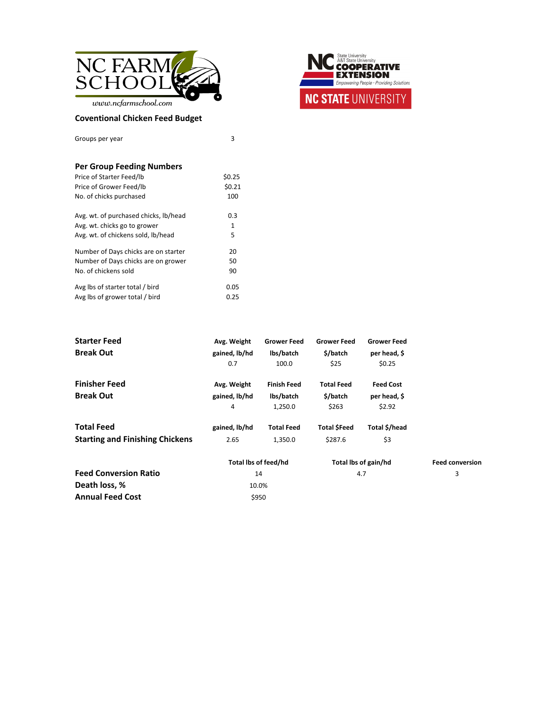

Groups per year 3

 $www.ncfarm school.com$ 

### **Coventional Chicken Feed Budget**



### **Per Group Feeding Numbers**

| Price of Starter Feed/lb              | \$0.25      |
|---------------------------------------|-------------|
| Price of Grower Feed/lb               | \$0.21      |
| No. of chicks purchased               | 100         |
| Avg. wt. of purchased chicks, lb/head | 0.3         |
| Avg. wt. chicks go to grower          | $\mathbf 1$ |
| Avg. wt. of chickens sold, lb/head    | 5           |
| Number of Days chicks are on starter  | 20          |
| Number of Days chicks are on grower   | 50          |
| No. of chickens sold                  | 90          |
| Avg lbs of starter total / bird       | 0.05        |
| Avg lbs of grower total / bird        | 0.25        |

| <b>Starter Feed</b>  | Avg. Weight   | <b>Grower Feed</b> | <b>Grower Feed</b> | <b>Grower Feed</b> |
|----------------------|---------------|--------------------|--------------------|--------------------|
| <b>Break Out</b>     | gained, lb/hd | lbs/batch          | $$$ /batch         | per head, \$       |
|                      | 0.7           | 100.0              | \$25               | \$0.25             |
| <b>Finisher Feed</b> | Avg. Weight   | <b>Finish Feed</b> | <b>Total Feed</b>  | <b>Feed Cost</b>   |
| <b>Break Out</b>     | gained, lb/hd | lbs/batch          | \$/batch           | per head, \$       |
|                      | 4             | 1,250.0            | \$263              | \$2.92             |

<span id="page-2-0"></span>

| <b>Total Feed</b>                      | gained, lb/hd        | <b>Total Feed</b> | <b>Total \$Feed</b> | Total \$/head        |                        |
|----------------------------------------|----------------------|-------------------|---------------------|----------------------|------------------------|
| <b>Starting and Finishing Chickens</b> | 2.65                 | 1,350.0           | \$287.6             | \$3                  |                        |
|                                        | Total Ibs of feed/hd |                   |                     | Total lbs of gain/hd | <b>Feed conversion</b> |
| <b>Feed Conversion Ratio</b>           | 14                   |                   | 4.7                 |                      | 3                      |
| Death loss, %                          | 10.0%                |                   |                     |                      |                        |
| <b>Annual Feed Cost</b>                | \$950                |                   |                     |                      |                        |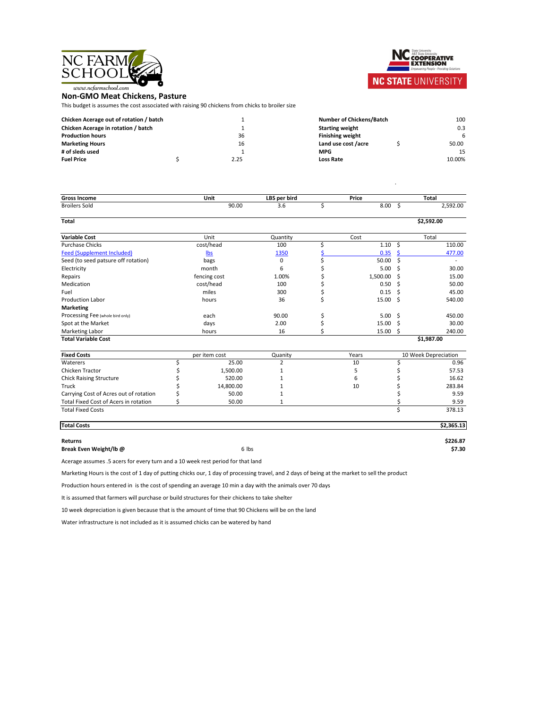



# **NC STATE UNIVERSITY**

**Non-GMO Meat Chickens, Pasture**

This budget is assumes the cost associated with raising 90 chickens from chicks to broiler size

| <b>Chicken Acerage out of rotation / batch</b> |      | <b>Number of Chickens/Batch</b> |  | 100    |
|------------------------------------------------|------|---------------------------------|--|--------|
| <b>Chicken Acerage in rotation / batch</b>     |      | <b>Starting weight</b>          |  | 0.3    |
| <b>Production hours</b>                        | 36   | <b>Finishing weight</b>         |  |        |
| <b>Marketing Hours</b>                         | 16   | Land use cost /acre             |  | 50.00  |
| # of sleds used                                |      | <b>MPG</b>                      |  | 15     |
| <b>Fuel Price</b>                              | 2.25 | <b>Loss Rate</b>                |  | 10.00% |

| <b>Number of Chickens/Batch</b> |              | 100    |
|---------------------------------|--------------|--------|
| <b>Starting weight</b>          |              | 0.3    |
| <b>Finishing weight</b>         |              |        |
| Land use cost /acre             | $\mathsf{S}$ | 50.00  |
| <b>MPG</b>                      |              | 15     |
| <b>Loss Rate</b>                |              | 10.00% |

.

| <b>Gross Income</b>                          |       | <b>Unit</b>   | LBS per bird   |             | <b>Price</b>       |               | <b>Total</b>                |
|----------------------------------------------|-------|---------------|----------------|-------------|--------------------|---------------|-----------------------------|
| <b>Broilers Sold</b>                         |       | 90.00         | 3.6            | $\varsigma$ | $8.00\frac{1}{5}$  |               | 2,592.00                    |
| <b>Total</b>                                 |       |               |                |             |                    |               | \$2,592.00                  |
| <b>Variable Cost</b>                         |       | Unit          | Quantity       |             | Cost               |               | Total                       |
| <b>Purchase Chicks</b>                       |       | cost/head     | 100            | \$          | $1.10 \; \; \zeta$ |               | 110.00                      |
| <b>Feed (Supplement Included)</b>            |       | <u>lbs</u>    | <u>1350</u>    |             | 0.35               |               | 477.00                      |
| Seed (to seed patsure off rotation)          |       | bags          | $\overline{0}$ |             | 50.00              |               |                             |
| Electricity                                  |       | month         | 6              |             | $5.00 \div$        |               | 30.00                       |
| Repairs                                      |       | fencing cost  | 1.00%          |             | 1,500.00           | -S            | 15.00                       |
| <b>Medication</b>                            |       | cost/head     | 100            |             | 0.50               | <sub>S</sub>  | 50.00                       |
| Fuel                                         |       | miles         | 300            |             | 0.15               | -S            | 45.00                       |
| <b>Production Labor</b>                      | hours |               | 36             | Ş           | $15.00 \div$       |               | 540.00                      |
| <b>Marketing</b>                             |       |               |                |             |                    |               |                             |
| Processing Fee (whole bird only)             |       | each          | 90.00          |             | $5.00 \div$        |               | 450.00                      |
| Spot at the Market                           |       | days          | 2.00           |             | 15.00              |               | 30.00                       |
| <b>Marketing Labor</b>                       |       | hours         | 16             |             | 15.00              | $\mathcal{S}$ | 240.00                      |
| <b>Total Variable Cost</b>                   |       |               |                |             |                    |               | \$1,987.00                  |
| <b>Fixed Costs</b>                           |       | per item cost | Quanity        |             | Years              |               | <b>10 Week Depreciation</b> |
| <b>Waterers</b>                              |       | 25.00         |                |             | 10                 |               | 0.96                        |
| <b>Chicken Tractor</b>                       |       | 1,500.00      |                |             | 5                  |               | 57.53                       |
| <b>Chick Raising Structure</b>               |       | 520.00        |                |             | 6                  |               | 16.62                       |
| Truck                                        |       | 14,800.00     |                |             | 10                 |               | 283.84                      |
| Carrying Cost of Acres out of rotation       |       | 50.00         |                |             |                    |               | 9.59                        |
| <b>Total Fixed Cost of Acers in rotation</b> |       | 50.00         |                |             |                    |               | 9.59                        |
| <b>Total Fixed Costs</b>                     |       |               |                |             |                    |               | 378.13                      |
| <b>Total Costs</b>                           |       |               |                |             |                    |               | \$2,365.13                  |

## **Returns \$226.87**

**Break Even Weight/lb @** 6 lbs **\$7.30**

Water infrastructure is not included as it is assumed chicks can be watered by hand

Acerage assumes .5 acers for every turn and a 10 week rest period for that land

Marketing Hours is the cost of 1 day of putting chicks our, 1 day of processing travel, and 2 days of being at the market to sell the product

Production hours entered in is the cost of spending an average 10 min a day with the animals over 70 days

It is assumed that farmers will purchase or build structures for their chickens to take shelter

10 week depreciation is given because that is the amount of time that 90 Chickens will be on the land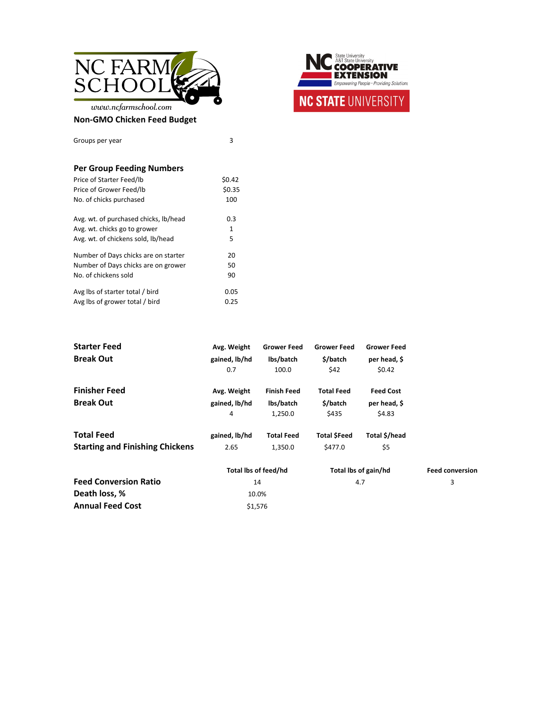

www.ncfarmschool.com

#### **Non-GMO Chicken Feed Budget**



| <b>Starter Feed</b>  | Avg. Weight   | <b>Grower Feed</b> | <b>Grower Feed</b> | <b>Grower Feed</b> |
|----------------------|---------------|--------------------|--------------------|--------------------|
| <b>Break Out</b>     | gained, lb/hd | lbs/batch          | \$/batch           | per head, \$       |
|                      | 0.7           | 100.0              | \$42               | \$0.42             |
| <b>Finisher Feed</b> | Avg. Weight   | <b>Finish Feed</b> | <b>Total Feed</b>  | <b>Feed Cost</b>   |
| <b>Break Out</b>     | gained, lb/hd | lbs/batch          | \$/batch           | per head, \$       |
|                      | 4             | 1,250.0            | \$435              | \$4.83             |



<span id="page-4-0"></span>

| <b>Total Feed</b>                      | gained, lb/hd        | <b>Total Feed</b> | <b>Total SFeed</b>   | Total \$/head |                        |
|----------------------------------------|----------------------|-------------------|----------------------|---------------|------------------------|
| <b>Starting and Finishing Chickens</b> | 2.65                 | 1,350.0           | \$477.0              | \$5           |                        |
|                                        | Total lbs of feed/hd |                   | Total lbs of gain/hd |               | <b>Feed conversion</b> |
| <b>Feed Conversion Ratio</b>           | 14                   |                   | 4.7                  |               | $\mathbf{3}$           |
| Death loss, %                          | 10.0%                |                   |                      |               |                        |
| <b>Annual Feed Cost</b>                | \$1,576              |                   |                      |               |                        |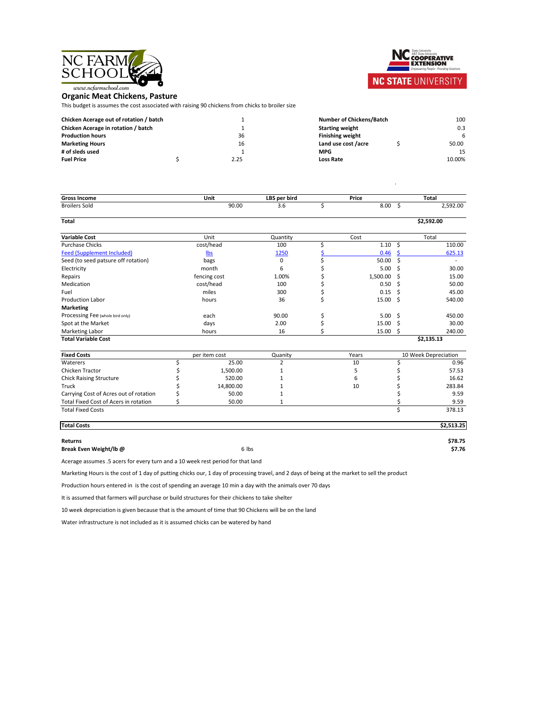



## **NC STATE UNIVERSITY**

## **Organic Meat Chickens, Pasture**

This budget is assumes the cost associated with raising 90 chickens from chicks to broiler size

| <b>Chicken Acerage out of rotation / batch</b> |      | <b>Number of Chickens/Batch</b> |  |        |
|------------------------------------------------|------|---------------------------------|--|--------|
| <b>Chicken Acerage in rotation / batch</b>     |      | <b>Starting weight</b>          |  | 0.3    |
| <b>Production hours</b>                        | 36   | <b>Finishing weight</b>         |  |        |
| <b>Marketing Hours</b>                         | 16   | Land use cost /acre             |  | 50.00  |
| # of sleds used                                |      | <b>MPG</b>                      |  | 15     |
| <b>Fuel Price</b>                              | 2.25 | <b>Loss Rate</b>                |  | 10.00% |

| <b>Number of Chickens/Batch</b> | 100    |
|---------------------------------|--------|
| <b>Starting weight</b>          | 0.3    |
| <b>Finishing weight</b>         |        |
| Land use cost /acre             | 50.00  |
| <b>MPG</b>                      | 15     |
| <b>Loss Rate</b>                | 10.00% |

.

| <b>Gross Income</b>                          | <b>Unit</b>   | LBS per bird   |               | <b>Price</b> |              | <b>Total</b>                |
|----------------------------------------------|---------------|----------------|---------------|--------------|--------------|-----------------------------|
| <b>Broilers Sold</b>                         | 90.00         | 3.6            | \$            | 8.00         | $\varsigma$  | 2,592.00                    |
| <b>Total</b>                                 |               |                |               |              |              | \$2,592.00                  |
| <b>Variable Cost</b>                         | Unit          | Quantity       |               | Cost         |              | Total                       |
| <b>Purchase Chicks</b>                       | cost/head     | 100            |               | 1.10         | $\varsigma$  | 110.00                      |
| <b>Feed (Supplement Included)</b>            | $lbs$         | <u>1250</u>    |               | 0.46         |              | 625.13                      |
| Seed (to seed patsure off rotation)          | bags          | $\overline{0}$ |               | 50.00        | $\mathsf{S}$ |                             |
| Electricity                                  | month         | 6              |               | 5.00         | S.           | 30.00                       |
| Repairs                                      | fencing cost  | 1.00%          |               | 1,500.00     |              | 15.00                       |
| Medication                                   | cost/head     | 100            |               | 0.50         | <sub>S</sub> | 50.00                       |
| Fuel                                         | miles         | 300            |               | 0.15         | S.           | 45.00                       |
| <b>Production Labor</b>                      | hours         | 36             | $\Rightarrow$ | $15.00 \div$ |              | 540.00                      |
| <b>Marketing</b>                             |               |                |               |              |              |                             |
| Processing Fee (whole bird only)             | each          | 90.00          |               | $5.00 \div$  |              | 450.00                      |
| Spot at the Market                           | days          | 2.00           |               | 15.00        |              | 30.00                       |
| <b>Marketing Labor</b>                       | hours         | 16             |               | $15.00 \div$ |              | 240.00                      |
| <b>Total Variable Cost</b>                   |               |                |               |              |              | \$2,135.13                  |
| <b>Fixed Costs</b>                           | per item cost | Quanity        |               | Years        |              | <b>10 Week Depreciation</b> |
| <b>Waterers</b>                              | 25.00         |                |               | 10           |              | 0.96                        |
| <b>Chicken Tractor</b>                       | 1,500.00      |                |               | 5            |              | 57.53                       |
| <b>Chick Raising Structure</b>               | 520.00        |                |               | 6            |              | 16.62                       |
| Truck                                        | 14,800.00     |                |               | 10           |              | 283.84                      |
| Carrying Cost of Acres out of rotation       | 50.00         |                |               |              |              | 9.59                        |
| <b>Total Fixed Cost of Acers in rotation</b> | 50.00         |                |               |              |              | 9.59                        |
| <b>Total Fixed Costs</b>                     |               |                |               |              |              | 378.13                      |
| <b>Total Costs</b>                           |               |                |               |              |              | \$2,513.25                  |

**Returns \$78.75 Break Even Weight/lb @** 6 lbs **\$7.76**

Water infrastructure is not included as it is assumed chicks can be watered by hand

Acerage assumes .5 acers for every turn and a 10 week rest period for that land

Marketing Hours is the cost of 1 day of putting chicks our, 1 day of processing travel, and 2 days of being at the market to sell the product

Production hours entered in is the cost of spending an average 10 min a day with the animals over 70 days

It is assumed that farmers will purchase or build structures for their chickens to take shelter

10 week depreciation is given because that is the amount of time that 90 Chickens will be on the land